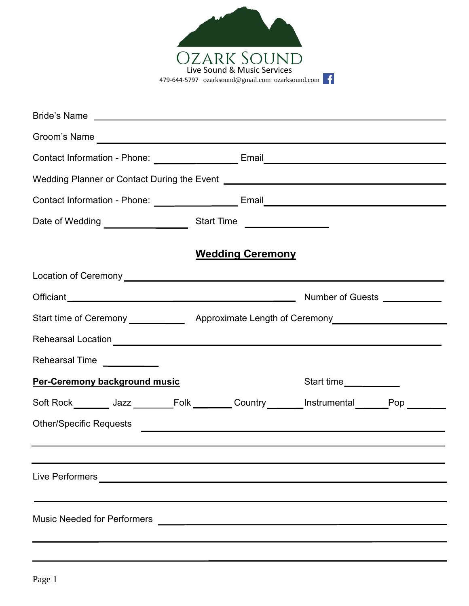

| Bride's Name experience and the series of the series of the series of the series of the series of the series of the series of the series of the series of the series of the series of the series of the series of the series o      |                                                   |                                   |  |
|-------------------------------------------------------------------------------------------------------------------------------------------------------------------------------------------------------------------------------------|---------------------------------------------------|-----------------------------------|--|
| Groom's Name                                                                                                                                                                                                                        |                                                   |                                   |  |
| Contact Information - Phone: __________________________Email____________________                                                                                                                                                    |                                                   |                                   |  |
| Wedding Planner or Contact During the Event [1989] [2002] [2003] [2003] [2003] [2004] [2004] [2004] [2004] [2004] [2004] [2004] [2004] [2004] [2004] [2004] [2004] [2004] [2004] [2004] [2004] [2004] [2004] [2004] [2004] [20      |                                                   |                                   |  |
| Contact Information - Phone: _______________________Email_______________________                                                                                                                                                    |                                                   |                                   |  |
|                                                                                                                                                                                                                                     |                                                   |                                   |  |
|                                                                                                                                                                                                                                     | <b>Wedding Ceremony</b>                           |                                   |  |
|                                                                                                                                                                                                                                     |                                                   |                                   |  |
|                                                                                                                                                                                                                                     |                                                   |                                   |  |
| Start time of Ceremony ________________ Approximate Length of Ceremony_________________                                                                                                                                             |                                                   |                                   |  |
|                                                                                                                                                                                                                                     |                                                   |                                   |  |
| Rehearsal Time<br><u> </u>                                                                                                                                                                                                          |                                                   |                                   |  |
| Per-Ceremony background music                                                                                                                                                                                                       |                                                   | Start time <u>_______________</u> |  |
| Soft Rock________ Jazz ________Folk _______ Country ______ Instrumental ______Pop ______                                                                                                                                            |                                                   |                                   |  |
| Other/Specific Requests <u>Communications</u> of the contract of the contract of the contract of the contract of the contract of the contract of the contract of the contract of the contract of the contract of the contract of th |                                                   |                                   |  |
|                                                                                                                                                                                                                                     |                                                   |                                   |  |
| Live Performers                                                                                                                                                                                                                     | <u> 1989 - Johann Barbara, martxa alemaniar a</u> |                                   |  |
|                                                                                                                                                                                                                                     |                                                   |                                   |  |
| <b>Music Needed for Performers</b>                                                                                                                                                                                                  | <u> 1980 - Andrea Andrew Maria (h. 1980).</u>     |                                   |  |
|                                                                                                                                                                                                                                     |                                                   |                                   |  |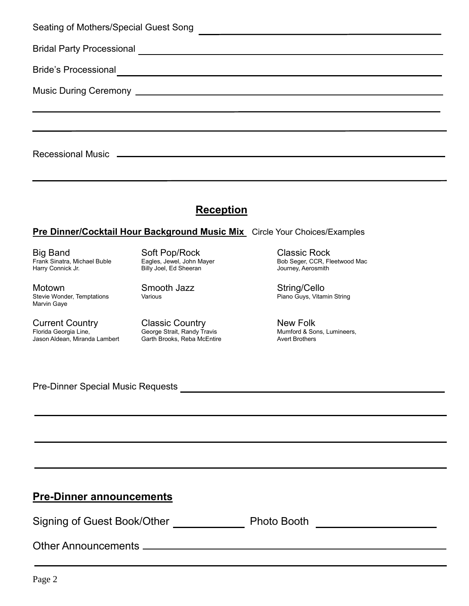| Seating of Mothers/Special Guest Song | <u> 1989 - Andrea Britain, politik eta politik eta politik eta politik eta politik eta politik eta politik eta p</u> |
|---------------------------------------|----------------------------------------------------------------------------------------------------------------------|
|                                       |                                                                                                                      |
| <b>Bride's Processional</b>           | <u> 1989 - Johann Barn, mars eta bainar eta bainar eta baina eta baina eta baina eta baina eta baina eta baina e</u> |
|                                       |                                                                                                                      |
|                                       |                                                                                                                      |
|                                       |                                                                                                                      |
|                                       |                                                                                                                      |

## **Reception**

## **Pre Dinner/Cocktail Hour Background Music Mix** Circle Your Choices/Examples

Big Band Soft Pop/Rock Classic Rock

Motown Smooth Jazz String/Cello Stevie Wonder, Temptations Marvin Gaye

Current Country Classic Country New Folk Jason Aldean, Miranda Lambert Garth Brooks, Reba McEntire **Avert Brothers** Avert Brothers

Billy Joel, Ed Sheeran

George Strait, Randy Travis<br>Garth Brooks, Reba McEntire

Frank Sinatra, Michael Buble Eagles, Jewel, John Mayer Bob Seger, CCR, Fleetwood Mac

Pre-Dinner Special Music Requests

**Pre-Dinner announcements**

Signing of Guest Book/Other Photo Booth

Other Announcements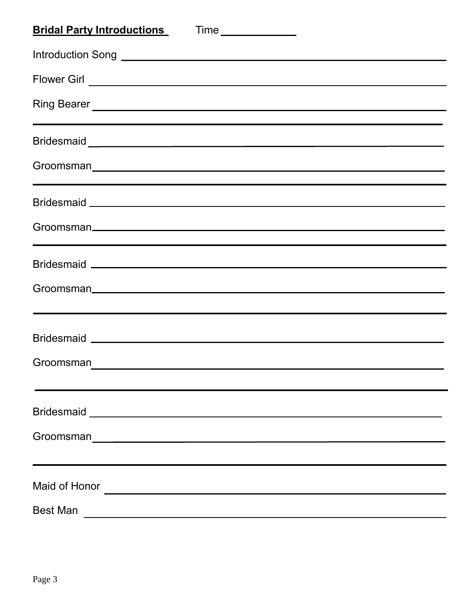| <b>Bridal Party Introductions</b>                                                                                                                                                                                                                                                                                                                            |
|--------------------------------------------------------------------------------------------------------------------------------------------------------------------------------------------------------------------------------------------------------------------------------------------------------------------------------------------------------------|
|                                                                                                                                                                                                                                                                                                                                                              |
|                                                                                                                                                                                                                                                                                                                                                              |
| Ring Bearer <u>New York and State and State and State and State and State and State and State and State and State and State and State and State and State and State and State and State and State and State and State and State </u><br><u> 1989 - Andrea Santa Andrea Santa Andrea Santa Andrea Santa Andrea Santa Andrea Santa Andrea Santa Andrea San</u> |
| Bridesmaid Letter and Letter and Letter and Letter and Letter and Letter and Letter and Letter and Letter and L                                                                                                                                                                                                                                              |
| ,我们也不会有什么?""我们的人,我们也不会有什么?""我们的人,我们也不会有什么?""我们的人,我们也不会有什么?""我们的人,我们也不会有什么?""我们的人                                                                                                                                                                                                                                                                             |
|                                                                                                                                                                                                                                                                                                                                                              |
|                                                                                                                                                                                                                                                                                                                                                              |
|                                                                                                                                                                                                                                                                                                                                                              |
|                                                                                                                                                                                                                                                                                                                                                              |
|                                                                                                                                                                                                                                                                                                                                                              |
|                                                                                                                                                                                                                                                                                                                                                              |
| Groomsman                                                                                                                                                                                                                                                                                                                                                    |
|                                                                                                                                                                                                                                                                                                                                                              |
|                                                                                                                                                                                                                                                                                                                                                              |
|                                                                                                                                                                                                                                                                                                                                                              |
|                                                                                                                                                                                                                                                                                                                                                              |
| <b>Best Man</b>                                                                                                                                                                                                                                                                                                                                              |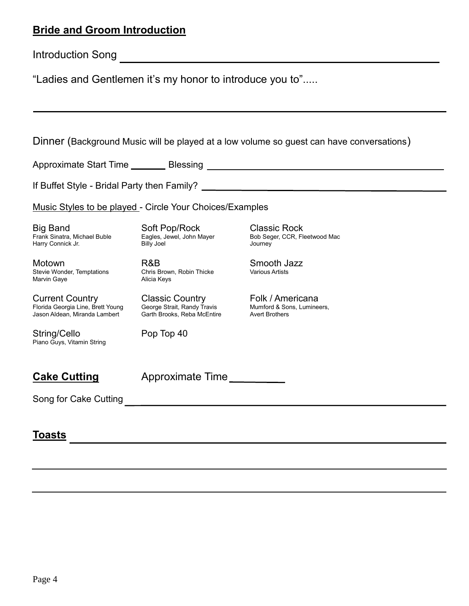## **Bride and Groom Introduction**

"Ladies and Gentlemen it's my honor to introduce you to".....

| Dinner (Background Music will be played at a low volume so guest can have conversations)     |                                                                                      |                                                                         |  |  |
|----------------------------------------------------------------------------------------------|--------------------------------------------------------------------------------------|-------------------------------------------------------------------------|--|--|
|                                                                                              |                                                                                      |                                                                         |  |  |
|                                                                                              |                                                                                      |                                                                         |  |  |
| Music Styles to be played - Circle Your Choices/Examples                                     |                                                                                      |                                                                         |  |  |
| <b>Big Band</b><br>Frank Sinatra, Michael Buble<br>Harry Connick Jr.                         | Soft Pop/Rock<br>Eagles, Jewel, John Mayer<br><b>Billy Joel</b>                      | <b>Classic Rock</b><br>Bob Seger, CCR, Fleetwood Mac<br>Journey         |  |  |
| Motown<br>Stevie Wonder, Temptations<br>Marvin Gaye                                          | R&B<br>Chris Brown, Robin Thicke<br>Alicia Keys                                      | Smooth Jazz<br><b>Various Artists</b>                                   |  |  |
| <b>Current Country</b><br>Florida Georgia Line, Brett Young<br>Jason Aldean, Miranda Lambert | <b>Classic Country</b><br>George Strait, Randy Travis<br>Garth Brooks, Reba McEntire | Folk / Americana<br>Mumford & Sons, Lumineers,<br><b>Avert Brothers</b> |  |  |
| String/Cello<br>Piano Guys, Vitamin String                                                   | Pop Top 40                                                                           |                                                                         |  |  |
| <b>Cake Cutting</b>                                                                          | Approximate Time                                                                     |                                                                         |  |  |
| Song for Cake Cutting                                                                        |                                                                                      |                                                                         |  |  |
| Toasts                                                                                       |                                                                                      |                                                                         |  |  |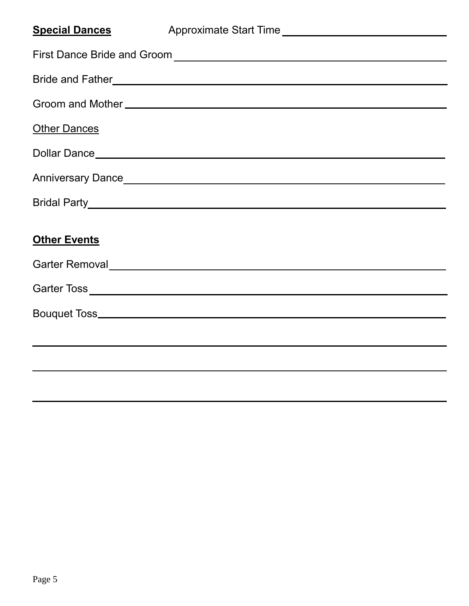| <b>Special Dances</b> |  |
|-----------------------|--|
|                       |  |
|                       |  |
|                       |  |
| <b>Other Dances</b>   |  |
|                       |  |
|                       |  |
|                       |  |
|                       |  |
| <b>Other Events</b>   |  |
|                       |  |
|                       |  |
|                       |  |
|                       |  |
|                       |  |
|                       |  |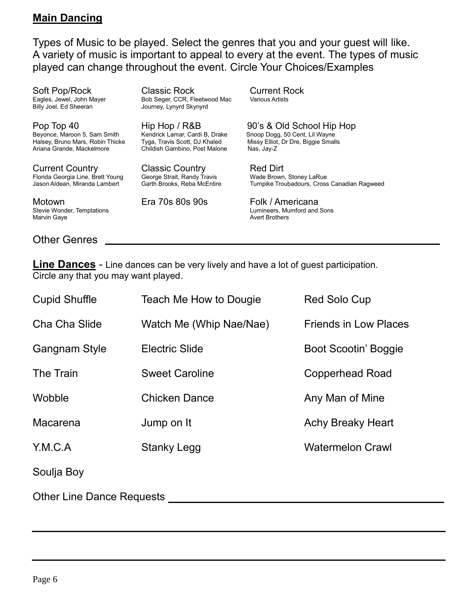## **Main Dancing**

Types of Music to be played. Select the genres that you and your guest will like. A variety of music is important to appeal to every at the event. The types of music played can change throughout the event. Circle Your Choices/Examples

Soft Pop/Rock Classic Rock Current Rock

Ariana Grande, Mackelmore Childish Gambino, Post Malone Nas, Jay-Z

Current Country Classic Country Red Dirt Florida Georgia Line, Brett Young George Strait, Randy Travis<br>Jason Aldean, Miranda Lambert Garth Brooks, Reba McEntire

Motown **Era 70s 80s 90s** Folk / Americana<br>Stevie Wonder, Temptations **Example 2009** Eumineers, Mumford and Marvin Gaye **Avert Brothers** Avert Brothers **Avert Brothers** 

Eagles, Jewel, John Mayer Bob Seger, CCR, Fleetwood Mac<br>Billy Joel, Ed Sheeran Breetter Bourney, Lynyrd Skynyrd Journey, Lynyrd Skynyrd

Pop Top 40 Hip Hop / R&B 90's & Old School Hip Hop Snoop Dogg, 50 Cent, Lil Wayne Halsey, Bruno Mars, Robin Thicke Tyga, Travis Scott, DJ Khaled Missy Elliot, Dr Dre, Biggie Smalls

Turnpike Troubadours, Cross Canadian Ragweed

Lumineers, Mumford and Sons

Other Genres

**Line Dances** - Line dances can be very lively and have a lot of guest participation. Circle any that you may want played.

| <b>Cupid Shuffle</b>             | Teach Me How to Dougie  | <b>Red Solo Cup</b>          |
|----------------------------------|-------------------------|------------------------------|
| Cha Cha Slide                    | Watch Me (Whip Nae/Nae) | <b>Friends in Low Places</b> |
| <b>Gangnam Style</b>             | <b>Electric Slide</b>   | <b>Boot Scootin' Boggie</b>  |
| The Train                        | <b>Sweet Caroline</b>   | <b>Copperhead Road</b>       |
| Wobble                           | <b>Chicken Dance</b>    | Any Man of Mine              |
| Macarena                         | Jump on It              | <b>Achy Breaky Heart</b>     |
| Y.M.C.A                          | <b>Stanky Legg</b>      | <b>Watermelon Crawl</b>      |
| Soulja Boy                       |                         |                              |
| <b>Other Line Dance Requests</b> |                         |                              |